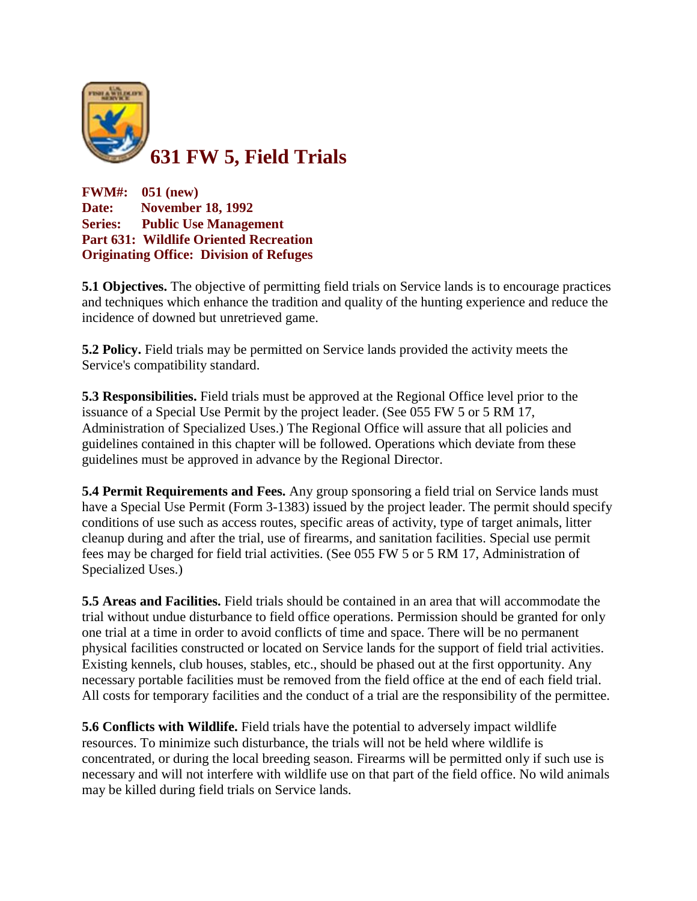

**FWM#: 051 (new) Date: November 18, 1992 Series: Public Use Management Part 631: Wildlife Oriented Recreation Originating Office: Division of Refuges**

**5.1 Objectives.** The objective of permitting field trials on Service lands is to encourage practices and techniques which enhance the tradition and quality of the hunting experience and reduce the incidence of downed but unretrieved game.

**5.2 Policy.** Field trials may be permitted on Service lands provided the activity meets the Service's compatibility standard.

**5.3 Responsibilities.** Field trials must be approved at the Regional Office level prior to the issuance of a Special Use Permit by the project leader. (See 055 FW 5 or 5 RM 17, Administration of Specialized Uses.) The Regional Office will assure that all policies and guidelines contained in this chapter will be followed. Operations which deviate from these guidelines must be approved in advance by the Regional Director.

**5.4 Permit Requirements and Fees.** Any group sponsoring a field trial on Service lands must have a Special Use Permit (Form 3-1383) issued by the project leader. The permit should specify conditions of use such as access routes, specific areas of activity, type of target animals, litter cleanup during and after the trial, use of firearms, and sanitation facilities. Special use permit fees may be charged for field trial activities. (See 055 FW 5 or 5 RM 17, Administration of Specialized Uses.)

**5.5 Areas and Facilities.** Field trials should be contained in an area that will accommodate the trial without undue disturbance to field office operations. Permission should be granted for only one trial at a time in order to avoid conflicts of time and space. There will be no permanent physical facilities constructed or located on Service lands for the support of field trial activities. Existing kennels, club houses, stables, etc., should be phased out at the first opportunity. Any necessary portable facilities must be removed from the field office at the end of each field trial. All costs for temporary facilities and the conduct of a trial are the responsibility of the permittee.

**5.6 Conflicts with Wildlife.** Field trials have the potential to adversely impact wildlife resources. To minimize such disturbance, the trials will not be held where wildlife is concentrated, or during the local breeding season. Firearms will be permitted only if such use is necessary and will not interfere with wildlife use on that part of the field office. No wild animals may be killed during field trials on Service lands.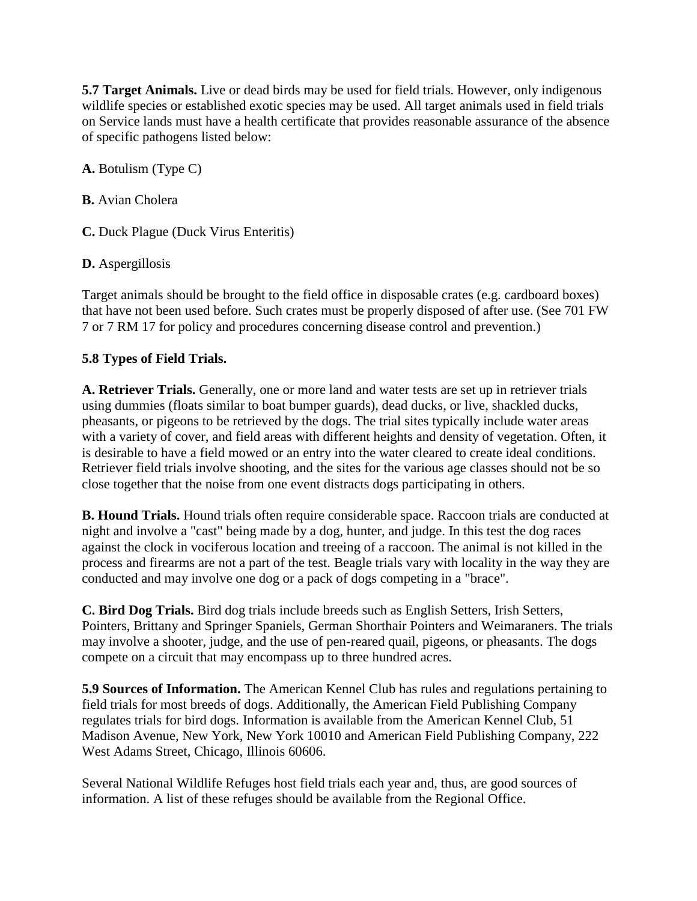**5.7 Target Animals.** Live or dead birds may be used for field trials. However, only indigenous wildlife species or established exotic species may be used. All target animals used in field trials on Service lands must have a health certificate that provides reasonable assurance of the absence of specific pathogens listed below:

**A.** Botulism (Type C)

**B.** Avian Cholera

**C.** Duck Plague (Duck Virus Enteritis)

**D.** Aspergillosis

Target animals should be brought to the field office in disposable crates (e.g. cardboard boxes) that have not been used before. Such crates must be properly disposed of after use. (See 701 FW 7 or 7 RM 17 for policy and procedures concerning disease control and prevention.)

## **5.8 Types of Field Trials.**

**A. Retriever Trials.** Generally, one or more land and water tests are set up in retriever trials using dummies (floats similar to boat bumper guards), dead ducks, or live, shackled ducks, pheasants, or pigeons to be retrieved by the dogs. The trial sites typically include water areas with a variety of cover, and field areas with different heights and density of vegetation. Often, it is desirable to have a field mowed or an entry into the water cleared to create ideal conditions. Retriever field trials involve shooting, and the sites for the various age classes should not be so close together that the noise from one event distracts dogs participating in others.

**B. Hound Trials.** Hound trials often require considerable space. Raccoon trials are conducted at night and involve a "cast" being made by a dog, hunter, and judge. In this test the dog races against the clock in vociferous location and treeing of a raccoon. The animal is not killed in the process and firearms are not a part of the test. Beagle trials vary with locality in the way they are conducted and may involve one dog or a pack of dogs competing in a "brace".

**C. Bird Dog Trials.** Bird dog trials include breeds such as English Setters, Irish Setters, Pointers, Brittany and Springer Spaniels, German Shorthair Pointers and Weimaraners. The trials may involve a shooter, judge, and the use of pen-reared quail, pigeons, or pheasants. The dogs compete on a circuit that may encompass up to three hundred acres.

**5.9 Sources of Information.** The American Kennel Club has rules and regulations pertaining to field trials for most breeds of dogs. Additionally, the American Field Publishing Company regulates trials for bird dogs. Information is available from the American Kennel Club, 51 Madison Avenue, New York, New York 10010 and American Field Publishing Company, 222 West Adams Street, Chicago, Illinois 60606.

Several National Wildlife Refuges host field trials each year and, thus, are good sources of information. A list of these refuges should be available from the Regional Office.